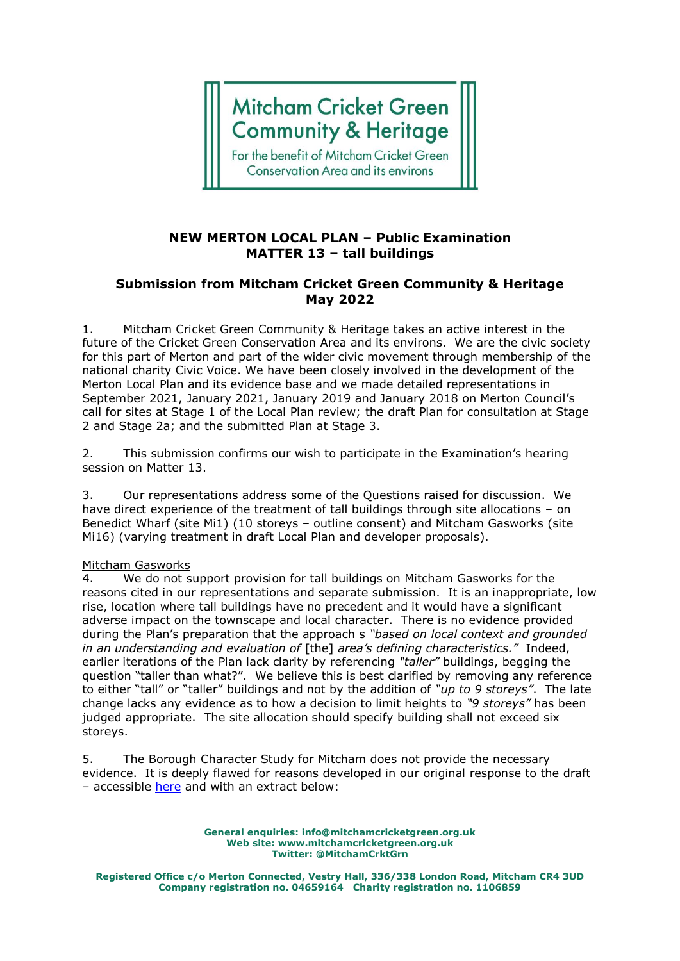# **Mitcham Cricket Green Community & Heritage**

For the benefit of Mitcham Cricket Green **Conservation Area and its environs** 

### **NEW MERTON LOCAL PLAN – Public Examination MATTER 13 – tall buildings**

## **Submission from Mitcham Cricket Green Community & Heritage May 2022**

1. Mitcham Cricket Green Community & Heritage takes an active interest in the future of the Cricket Green Conservation Area and its environs. We are the civic society for this part of Merton and part of the wider civic movement through membership of the national charity Civic Voice. We have been closely involved in the development of the Merton Local Plan and its evidence base and we made detailed representations in September 2021, January 2021, January 2019 and January 2018 on Merton Council's call for sites at Stage 1 of the Local Plan review; the draft Plan for consultation at Stage 2 and Stage 2a; and the submitted Plan at Stage 3.

2. This submission confirms our wish to participate in the Examination's hearing session on Matter 13.

3. Our representations address some of the Questions raised for discussion. We have direct experience of the treatment of tall buildings through site allocations – on Benedict Wharf (site Mi1) (10 storeys – outline consent) and Mitcham Gasworks (site Mi16) (varying treatment in draft Local Plan and developer proposals).

#### Mitcham Gasworks

4. We do not support provision for tall buildings on Mitcham Gasworks for the reasons cited in our representations and separate submission. It is an inappropriate, low rise, location where tall buildings have no precedent and it would have a significant adverse impact on the townscape and local character. There is no evidence provided during the Plan's preparation that the approach s *"based on local context and grounded in an understanding and evaluation of* [the] *area's defining characteristics."* Indeed, earlier iterations of the Plan lack clarity by referencing *"taller"* buildings, begging the question "taller than what?". We believe this is best clarified by removing any reference to either "tall" or "taller" buildings and not by the addition of *"up to 9 storeys"*. The late change lacks any evidence as to how a decision to limit heights to *"9 storeys"* has been judged appropriate. The site allocation should specify building shall not exceed six storeys.

5. The Borough Character Study for Mitcham does not provide the necessary evidence. It is deeply flawed for reasons developed in our original response to the draft – accessible [here](https://mitchamcricketgreen.files.wordpress.com/2021/03/merton-character-study-mar-21.pdf) and with an extract below:

> **General enquiries: info@mitchamcricketgreen.org.uk Web site: www.mitchamcricketgreen.org.uk Twitter: @MitchamCrktGrn**

**Registered Office c/o Merton Connected, Vestry Hall, 336/338 London Road, Mitcham CR4 3UD Company registration no. 04659164 Charity registration no. 1106859**